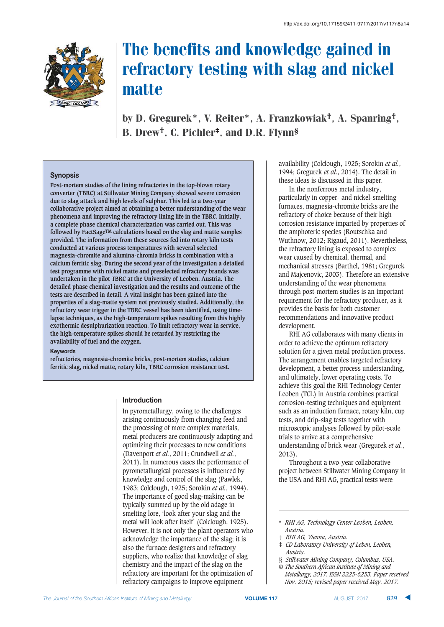

by D. Gregurek\*, V. Reiter\*, A. Franzkowiak†, A. Spanring†, B. Drew†, C. Pichler‡, and D.R. Flynn§

#### Synopsis

**Post-mortem studies of the lining refractories in the top-blown rotary converter (TBRC) at Stillwater Mining Company showed severe corrosion due to slag attack and high levels of sulphur. This led to a two-year collaborative project aimed at obtaining a better understanding of the wear phenomena and improving the refractory lining life in the TBRC. Initially, a complete phase chemical characterization was carried out. This was followed by FactSageTM calculations based on the slag and matte samples provided. The information from these sources fed into rotary kiln tests conducted at various process temperatures with several selected magnesia-chromite and alumina-chromia bricks in combination with a calcium ferritic slag. During the second year of the investigation a detailed test programme with nickel matte and preselected refractory brands was undertaken in the pilot TBRC at the University of Leoben, Austria. The detailed phase chemical investigation and the results and outcome of the tests are described in detail. A vital insight has been gained into the properties of a slag-matte system not previously studied. Additionally, the refractory wear trigger in the TBRC vessel has been identified, using timelapse techniques, as the high-temperature spikes resulting from this highly exothermic desulphurization reaction. To limit refractory wear in service, the high-temperature spikes should be retarded by restricting the availability of fuel and the oxygen.** 

#### Keywords

**refractories, magnesia-chromite bricks, post-mortem studies, calcium ferritic slag, nickel matte, rotary kiln, TBRC corrosion resistance test.** 

#### **Introduction**

In pyrometallurgy, owing to the challenges arising continuously from changing feed and the processing of more complex materials, metal producers are continuously adapting and optimizing their processes to new conditions (Davenport *et al.*, 2011; Crundwell *et al.*, 2011). In numerous cases the performance of pyrometallurgical processes is influenced by knowledge and control of the slag (Pawlek, 1983; Colclough, 1925; Sorokin *et al.*, 1994). The importance of good slag-making can be typically summed up by the old adage in smelting lore, 'look after your slag and the metal will look after itself' (Colclough, 1925). However, it is not only the plant operators who acknowledge the importance of the slag; it is also the furnace designers and refractory suppliers, who realize that knowledge of slag chemistry and the impact of the slag on the refractory are important for the optimization of refractory campaigns to improve equipment

availability (Colclough, 1925; Sorokin *et al.*, 1994; Gregurek *et al.*, 2014). The detail in these ideas is discussed in this paper.

In the nonferrous metal industry, particularly in copper- and nickel-smelting furnaces, magnesia-chromite bricks are the refractory of choice because of their high corrosion resistance imparted by properties of the amphoteric species (Routschka and Wuthnow, 2012; Rigaud, 2011). Nevertheless, the refractory lining is exposed to complex wear caused by chemical, thermal, and mechanical stresses (Barthel, 1981; Gregurek and Majcenovic, 2003). Therefore an extensive understanding of the wear phenomena through post-mortem studies is an important requirement for the refractory producer, as it provides the basis for both customer recommendations and innovative product development.

RHI AG collaborates with many clients in order to achieve the optimum refractory solution for a given metal production process. The arrangement enables targeted refractory development, a better process understanding, and ultimately, lower operating costs. To achieve this goal the RHI Technology Center Leoben (TCL) in Austria combines practical corrosion-testing techniques and equipment such as an induction furnace, rotary kiln, cup tests, and drip-slag tests together with microscopic analyses followed by pilot-scale trials to arrive at a comprehensive understanding of brick wear (Gregurek *et al.*, 2013).

Throughout a two-year collaborative project between Stillwater Mining Company in the USA and RHI AG, practical tests were

- § *Stillwater Mining Company, Columbus, USA.*
- *© The Southern African Institute of Mining and Metallurgy, 2017. ISSN 2225-6253. Paper received Nov. 2015; revised paper received May. 2017.*

<sup>\*</sup> *RHI AG, Technology Center Leoben, Leoben, Austria.*

<sup>†</sup> *RHI AG, Vienna, Austria.*

<sup>‡</sup> *CD Laboratory University of Leben, Leoben, Austria.*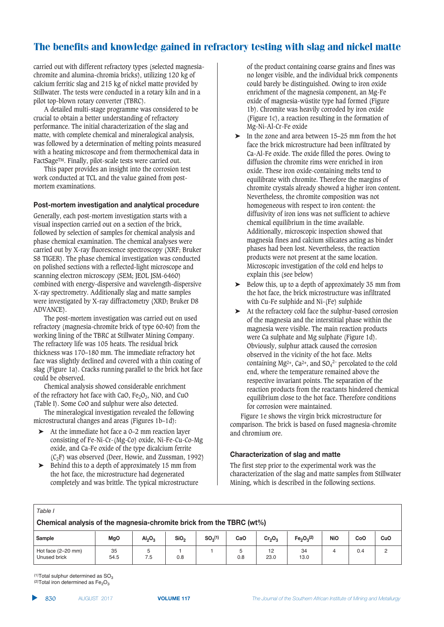carried out with different refractory types (selected magnesiachromite and alumina-chromia bricks), utilizing 120 kg of calcium ferritic slag and 215 kg of nickel matte provided by Stillwater. The tests were conducted in a rotary kiln and in a pilot top-blown rotary converter (TBRC).

A detailed multi-stage programme was considered to be crucial to obtain a better understanding of refractory performance. The initial characterization of the slag and matte, with complete chemical and mineralogical analysis, was followed by a determination of melting points measured with a heating microscope and from thermochemical data in FactSageTM. Finally, pilot-scale tests were carried out.

This paper provides an insight into the corrosion test work conducted at TCL and the value gained from postmortem examinations.

#### **Post-mortem investigation and analytical procedure**

Generally, each post-mortem investigation starts with a visual inspection carried out on a section of the brick, followed by selection of samples for chemical analysis and phase chemical examination. The chemical analyses were carried out by X-ray fluorescence spectroscopy (XRF; Bruker S8 TIGER). The phase chemical investigation was conducted on polished sections with a reflected-light microscope and scanning electron microscopy (SEM; JEOL JSM-6460) combined with energy-dispersive and wavelength-dispersive X-ray spectrometry. Additionally slag and matte samples were investigated by X-ray diffractometry (XRD; Bruker D8 ADVANCE).

The post-mortem investigation was carried out on used refractory (magnesia-chromite brick of type 60:40) from the working lining of the TBRC at Stillwater Mining Company. The refractory life was 105 heats. The residual brick thickness was 170–180 mm. The immediate refractory hot face was slightly declined and covered with a thin coating of slag (Figure 1a). Cracks running parallel to the brick hot face could be observed.

Chemical analysis showed considerable enrichment of the refractory hot face with CaO,  $Fe<sub>2</sub>O<sub>3</sub>$ , NiO, and CuO (Table I). Some CoO and sulphur were also detected.

The mineralogical investigation revealed the following microstructural changes and areas (Figures 1b–1d):

- ➤ At the immediate hot face a 0–2 mm reaction layer consisting of Fe-Ni-Cr-(Mg-Co) oxide, Ni-Fe-Cu-Co-Mg oxide, and Ca-Fe oxide of the type dicalcium ferrite  $(C_2F)$  was observed (Deer, Howie, and Zussman, 1992)
- Behind this to a depth of approximately 15 mm from the hot face, the microstructure had degenerated completely and was brittle. The typical microstructure

of the product containing coarse grains and fines was no longer visible, and the individual brick components could barely be distinguished. Owing to iron oxide enrichment of the magnesia component, an Mg-Fe oxide of magnesia-wüstite type had formed (Figure 1b). Chromite was heavily corroded by iron oxide (Figure 1c), a reaction resulting in the formation of Mg-Ni-Al-Cr-Fe oxide

- In the zone and area between 15–25 mm from the hot face the brick microstructure had been infiltrated by Ca-Al-Fe oxide. The oxide filled the pores. Owing to diffusion the chromite rims were enriched in iron oxide. These iron oxide-containing melts tend to equilibrate with chromite. Therefore the margins of chromite crystals already showed a higher iron content. Nevertheless, the chromite composition was not homogeneous with respect to iron content: the diffusivity of iron ions was not sufficient to achieve chemical equilibrium in the time available. Additionally, microscopic inspection showed that magnesia fines and calcium silicates acting as binder phases had been lost. Nevertheless, the reaction products were not present at the same location. Microscopic investigation of the cold end helps to explain this (see below)
- $\blacktriangleright$  Below this, up to a depth of approximately 35 mm from the hot face, the brick microstructure was infiltrated with Cu-Fe sulphide and Ni-(Fe) sulphide
- ➤ At the refractory cold face the sulphur-based corrosion of the magnesia and the interstitial phase within the magnesia were visible. The main reaction products were Ca sulphate and Mg sulphate (Figure 1d). Obviously, sulphur attack caused the corrosion observed in the vicinity of the hot face. Melts containing Mg<sup>2+</sup>, Ca<sup>2+</sup>, and  $SO_4^2$ <sup>-</sup> percolated to the cold end, where the temperature remained above the respective invariant points. The separation of the reaction products from the reactants hindered chemical equilibrium close to the hot face. Therefore conditions for corrosion were maintained.

Figure 1e shows the virgin brick microstructure for comparison. The brick is based on fused magnesia-chromite and chromium ore.

#### **29 Characterization of slag and matte**

The first step prior to the experimental work was the characterization of the slag and matte samples from Stillwater Mining, which is described in the following sections.

| ۰.<br>۰,<br>× |  |
|---------------|--|
|---------------|--|

|                                      | Chemical analysis of the magnesia-chromite brick from the TBRC (wt%) |                                |                  |              |     |                                |                                    |            |     |     |  |
|--------------------------------------|----------------------------------------------------------------------|--------------------------------|------------------|--------------|-----|--------------------------------|------------------------------------|------------|-----|-----|--|
| Sample                               | <b>MgO</b>                                                           | Al <sub>2</sub> O <sub>3</sub> | SiO <sub>2</sub> | $SO_3^{(1)}$ | CaO | Cr <sub>2</sub> O <sub>3</sub> | Fe <sub>2</sub> O <sub>3</sub> (2) | <b>NiO</b> | CoO | CuO |  |
| Hot face $(2-20$ mm)<br>Unused brick | 35<br>54.5                                                           | 7.5                            | 0.8              |              | 0.8 | 12<br>23.0                     | 34<br>13.0                         |            | 0.4 | ≏   |  |

 $(1)$ Total sulphur determined as  $SO<sub>3</sub>$ (2)Total iron determined as  $\text{Fe}_2\text{O}_3$ 

▲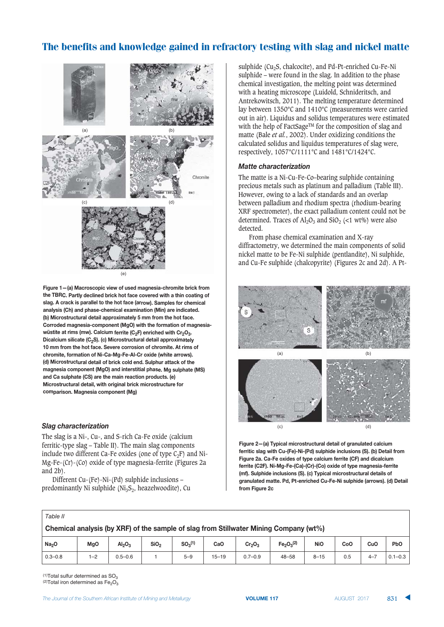

**Figure 1–(a)** Macroscopic view of used magnesia-chromite brick from **the TBRC.** Partly declined brick hot face covered with a thin coating of slag. A crack is parallel to the hot face (arrow). Samples for chemical  $\alpha$  **Ch**) and phase-chemical examination (Min) are indicated.  $\beta$  Microstructural detail approximately 5 mm from the hot face.  $3$ **Corroded magnesia-component (MgO) with the formation of magnesiawüstite at rims (mw). Calcium ferrite (C<sub>2</sub>F) enriched with Cr<sub>2</sub>O<sub>3</sub>. A**  $\blacksquare$  **Dicalcium silicate (C<sub>2</sub>S). (c) Microstructural detail approximately 10 mm from the hot face. Severe corrosion of chromite. At rims of**  $B$ **)**  $B$  **chromite, formation of Ni-Ca-Mg-Fe-Al-Cr oxide (white arrows).**  $4$  **A:** Microstructural detail of brick cold end. Sulphur attack of the **)**<br>magnesia component (MgO) and interstitial phase. Mg sulphate (MS)  $29$  and Ca sulphate (CS) are the main reaction products. (e) Microstructural detail, with original brick microstructure for  $$ 

#### $$$ *lag characterization*

The slag is a Ni-, Cu-, and S-rich Ca-Fe oxide (calcium ferritic-type slag – Table II). The main slag components include two different Ca-Fe oxides (one of type  $C_2F$ ) and Ni-Mg-Fe-(Cr)-(Co) oxide of type magnesia-ferrite (Figures 2a and 2b).

Different Cu-(Fe)-Ni-(Pd) sulphide inclusions – predominantly Ni sulphide ( $Ni<sub>3</sub>S<sub>2</sub>$ , heazelwoodite), Cu sulphide (Cu<sub>2</sub>S, chalcocite), and Pd-Pt-enriched Cu-Fe-Ni sulphide – were found in the slag. In addition to the phase chemical investigation, the melting point was determined with a heating microscope (Luidold, Schnideritsch, and Antrekowitsch, 2011). The melting temperature determined lay between 1350°C and 1410°C (measurements were carried out in air). Liquidus and solidus temperatures were estimated with the help of FactSage<sup>TM</sup> for the composition of slag and matte (Bale *et al.*, 2002). Under oxidizing conditions the calculated solidus and liquidus temperatures of slag were, respectively, 1057°C/1111°C and 1481°C/1424°C.

#### $$

The matte is a Ni-Cu-Fe-Co–bearing sulphide containing precious metals such as platinum and palladium (Table III). However, owing to a lack of standards and an overlap between palladium and rhodium spectra (rhodium-bearing XRF spectrometer), the exact palladium content could not be determined. Traces of  $\text{Al}_2\text{O}_3$  and  $\text{SiO}_2$  (<1 wt%) were also detected.

From phase chemical examination and X-ray diffractometry, we determined the main components of solid nickel matte to be Fe-Ni sulphide (pentlandite), Ni sulphide, and Cu-Fe sulphide (chalcopyrite) (Figures 2c and 2d). A Pt-



**Figure 2-(a) Typical microstructural detail of granulated calcium ferritic slag with Cu-(Fe)-Ni-(Pd) sulphide inclusions (S). (b) Detail from Figure 2a. Ca-Fe oxides of type calcium ferrite (CF) and dicalcium ferrite (C2F). Ni-Mg-Fe-(Ca)-(Cr)-(Co) oxide of type magnesia-ferrite**  $[$ **mf).** Sulphide inclusions (S). (c) Typical microstructural details of **granulated matte. Pd, Pt-enriched Cu-Fe-Ni sulphide (arrows). (d) Detail**  $\frac{2}{3}$ **B** 

|                                                                                       | Table II          |            |                                |                  |                     |                 |                                |                                    |            |     |         |             |
|---------------------------------------------------------------------------------------|-------------------|------------|--------------------------------|------------------|---------------------|-----------------|--------------------------------|------------------------------------|------------|-----|---------|-------------|
| Chemical analysis (by XRF) of the sample of slag from Stillwater Mining Company (wt%) |                   |            |                                |                  |                     |                 |                                |                                    |            |     |         |             |
|                                                                                       | Na <sub>2</sub> O | <b>MgO</b> | Al <sub>2</sub> O <sub>3</sub> | SiO <sub>2</sub> | SO <sub>2</sub> (1) | Ca <sub>O</sub> | Cr <sub>2</sub> O <sub>3</sub> | Fe <sub>2</sub> O <sub>3</sub> (2) | <b>NiO</b> | CoO | CuO     | <b>PbO</b>  |
|                                                                                       | $0.3 - 0.8$       | $1 - 2$    | $0.5 - 0.6$                    |                  | $5 - 9$             | $15 - 19$       | $0.7 - 0.9$                    | $48 - 58$                          | $8 - 15$   | 0.5 | $4 - 7$ | $0.1 - 0.3$ |

 $(1)$ Total sulfur determined as SO<sub>3</sub>  $(2)$ Total iron determined as Fe<sub>2</sub>O<sub>3</sub>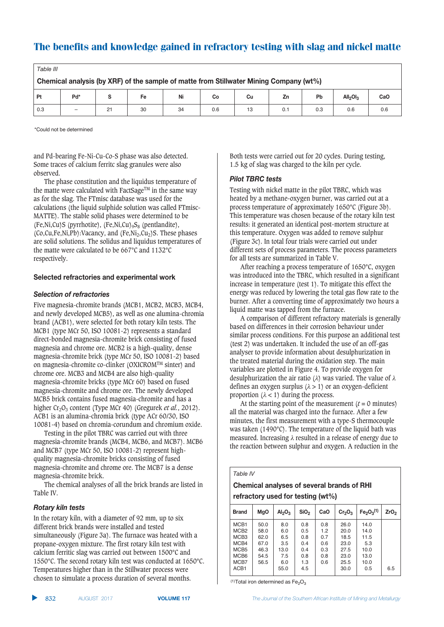| Table III                                                                              |     |    |    |    |     |    |     |     |                                  |     |
|----------------------------------------------------------------------------------------|-----|----|----|----|-----|----|-----|-----|----------------------------------|-----|
| Chemical analysis (by XRF) of the sample of matte from Stillwater Mining Company (wt%) |     |    |    |    |     |    |     |     |                                  |     |
| Pt                                                                                     | Pd* |    | Fe | Ni | Co  | Cu | Zn  | Pb  | All <sub>2</sub> OI <sub>3</sub> | CaO |
| 0.3                                                                                    | -   | 21 | 30 | 34 | 0.6 | 13 | 0.1 | 0.3 | 0.6                              | 0.6 |

\*Could not be determined

and Pd-bearing Fe-Ni-Cu-Co-S phase was also detected. Some traces of calcium ferritc slag granules were also observed.

The phase constitution and the liquidus temperature of the matte were calculated with FactSage<sup>TM</sup> in the same way as for the slag. The FTmisc database was used for the calculations (the liquid sulphide solution was called FTmisc-MATTE). The stable solid phases were determined to be (Fe,Ni,Cu)S (pyrrhotite), (Fe,Ni,Cu)<sub>9</sub>S<sub>8</sub> (pentlandite),  $(Co,Cu,Fe,Ni,Pb)$ : Vacancy, and  $(Fe,Ni_2,Cu_2)$ S. These phases are solid solutions. The solidus and liquidus temperatures of the matte were calculated to be 667°C and 1132°C respectively.

#### $B$ **Selected refractories and experimental work**

#### $\mathbf{S}$ *election of refractories*

Five magnesia-chromite brands (MCB1, MCB2, MCB3, MCB4, and newly developed MCB5), as well as one alumina-chromia brand (ACB1), were selected for both rotary kiln tests. The MCB1 (type MCr 50, ISO 10081-2) represents a standard direct-bonded magnesia-chromite brick consisting of fused magnesia and chrome ore. MCB2 is a high-quality, dense magnesia-chromite brick (type MCr 50, ISO 10081-2) based on magnesia-chromite co-clinker (OXICROMTM sinter) and chrome ore. MCB3 and MCB4 are also high-quality magnesia-chromite bricks (type MCr 60) based on fused magnesia-chromite and chrome ore. The newly developed MCB5 brick contains fused magnesia-chromite and has a higher Cr<sub>2</sub>O<sub>3</sub> content (Type MCr 40) (Gregurek *et al.*, 2012). ACB1 is an alumina-chromia brick (type ACr 60/30, ISO 10081-4) based on chromia-corundum and chromium oxide.

Testing in the pilot TBRC was carried out with three magnesia-chromite brands (MCB4, MCB6, and MCB7). MCB6 and MCB7 (type MCr 50, ISO 10081-2) represent highquality magnesia-chromite bricks consisting of fused magnesia-chromite and chrome ore. The MCB7 is a dense magnesia-chromite brick.

The chemical analyses of all the brick brands are listed in Table IV.

#### $Rotary$   $kin$  tests

In the rotary kiln, with a diameter of 92 mm, up to six different brick brands were installed and tested simultaneously (Figure 3a). The furnace was heated with a propane-oxygen mixture. The first rotary kiln test with calcium ferritic slag was carried out between 1500°C and 1550°C. The second rotary kiln test was conducted at 1650°C. Temperatures higher than in the Stillwater process were chosen to simulate a process duration of several months.

Both tests were carried out for 20 cycles. During testing, 1.5 kg of slag was charged to the kiln per cycle.

#### **Pilot TBRC tests**

Testing with nickel matte in the pilot TBRC, which was heated by a methane-oxygen burner, was carried out at a process temperature of approximately 1650°C (Figure 3b). This temperature was chosen because of the rotary kiln test results: it generated an identical post-mortem structure at this temperature. Oxygen was added to remove sulphur (Figure 3c). In total four trials were carried out under different sets of process parameters. The process parameters for all tests are summarized in Table V.

After reaching a process temperature of 1650°C, oxygen was introduced into the TBRC, which resulted in a significant increase in temperature (test 1). To mitigate this effect the energy was reduced by lowering the total gas flow rate to the burner. After a converting time of approximately two hours a liquid matte was tapped from the furnace.

A comparison of different refractory materials is generally based on differences in their corrosion behaviour under similar process conditions. For this purpose an additional test (test 2) was undertaken. It included the use of an off-gas analyser to provide information about desulphurization in the treated material during the oxidation step. The main variables are plotted in Figure 4. To provide oxygen for desulphurization the air ratio ( $\lambda$ ) was varied. The value of  $\lambda$ defines an oxygen surplus  $(\lambda > 1)$  or an oxygen-deficient proportion  $(\lambda < 1)$  during the process.

At the starting point of the measurement  $(t = 0$  minutes) all the material was charged into the furnace. After a few minutes, the first measurement with a type-S thermocouple was taken (1490°C). The temperature of the liquid bath was measured. Increasing  $\lambda$  resulted in a release of energy due to the reaction between sulphur and oxygen. A reduction in the

#### *Table IV*

### **Chemical analyses of several brands of RHI**  $\text{refractory used for testing (wt\%)}$

| <b>Brand</b>     | <b>MgO</b> | Al <sub>2</sub> O <sub>3</sub> | SiO <sub>2</sub> | CaO | $Cr_2O_3$ | Fe <sub>2</sub> O <sub>3</sub> (1) | ZrO <sub>2</sub> |
|------------------|------------|--------------------------------|------------------|-----|-----------|------------------------------------|------------------|
| MCB <sub>1</sub> | 50.0       | 8.0                            | 0.8              | 0.8 | 26.0      | 14.0                               |                  |
| MCB <sub>2</sub> | 58.0       | 6.0                            | 0.5              | 1.2 | 20.0      | 14.0                               |                  |
| MCB <sub>3</sub> | 62.0       | 6.5                            | 0.8              | 0.7 | 18.5      | 11.5                               |                  |
| MCB4             | 67.0       | 3.5                            | 0.4              | 0.6 | 23.0      | 5.3                                |                  |
| MCB <sub>5</sub> | 46.3       | 13.0                           | 0.4              | 0.3 | 27.5      | 10.0                               |                  |
| MCB <sub>6</sub> | 54.5       | 7.5                            | 0.8              | 0.8 | 23.0      | 13.0                               |                  |
| MCB7             | 56.5       | 6.0                            | 1.3              | 0.6 | 25.5      | 10.0                               |                  |
| ACB <sub>1</sub> |            | 55.0                           | 4.5              |     | 30.0      | 0.5                                | 6.5              |
|                  |            |                                |                  |     |           |                                    |                  |

<sup>(1)</sup>Total iron determined as  $Fe<sub>2</sub>O<sub>3</sub>$ 

▲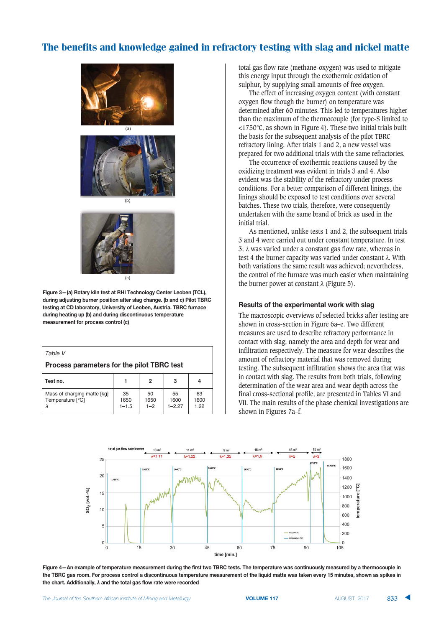

 $(c)$ 

**Figure 3-(a) Rotary kiln test at RHI Technology Center Leoben (TCL),**  $\blacksquare$ **B.**<br>B) Buring adjusting burner position after slag change. (b and c) Pilot TBRC **zb**. **cb**. **Dep**. **CD** laboratory, University of Leoben, Austria. TBRC furnace **:8BA?6F9ECDA?6F82F4.5FC?:F:8BA?6F:A=>@?DA?8@8=FDE;2EBCD8BE**  $i$  measurement for process control (c)

| Table V<br>Process parameters for the pilot TBRC test |                         |                       |                         |                    |
|-------------------------------------------------------|-------------------------|-----------------------|-------------------------|--------------------|
| Test no.                                              |                         | 2                     | 3                       |                    |
| Mass of charging matte [kg]<br>Temperature [°C]       | 35<br>1650<br>$1 - 1.5$ | 50<br>1650<br>$1 - 2$ | 55<br>1600<br>$1 - 227$ | 63<br>1600<br>1 22 |

total gas flow rate (methane-oxygen) was used to mitigate this energy input through the exothermic oxidation of sulphur, by supplying small amounts of free oxygen.

The effect of increasing oxygen content (with constant oxygen flow though the burner) on temperature was determined after 60 minutes. This led to temperatures higher than the maximum of the thermocouple (for type-S limited to <1750°C, as shown in Figure 4). These two initial trials built the basis for the subsequent analysis of the pilot TBRC refractory lining. After trials 1 and 2, a new vessel was prepared for two additional trials with the same refractories.

The occurrence of exothermic reactions caused by the oxidizing treatment was evident in trials 3 and 4. Also evident was the stability of the refractory under process conditions. For a better comparison of different linings, the linings should be exposed to test conditions over several batches. These two trials, therefore, were consequently undertaken with the same brand of brick as used in the initial trial.

As mentioned, unlike tests 1 and 2, the subsequent trials 3 and 4 were carried out under constant temperature. In test  $3$ ,  $\lambda$  was varied under a constant gas flow rate, whereas in test 4 the burner capacity was varied under constant  $\lambda$ . With both variations the same result was achieved; nevertheless, the control of the furnace was much easier when maintaining the burner power at constant  $\lambda$  (Figure 5).

#### **Results of the experimental work with slag**

The macroscopic overviews of selected bricks after testing are shown in cross-section in Figure 6a–e. Two different measures are used to describe refractory performance in contact with slag, namely the area and depth for wear and infiltration respectively. The measure for wear describes the amount of refractory material that was removed during testing. The subsequent infiltration shows the area that was in contact with slag. The results from both trials, following determination of the wear area and wear depth across the final cross-sectional profile, are presented in Tables VI and VII. The main results of the phase chemical investigations are shown in Figures 7a–f.



Figure 4-An example of temperature measurement during the first two TBRC tests. The temperature was continuously measured by a thermocouple in the TBRC gas room. For process control a discontinuous temperature measurement of the liquid matte was taken every 15 minutes, shown as spikes in the chart. Additionally, λ and the total gas flow rate were recorded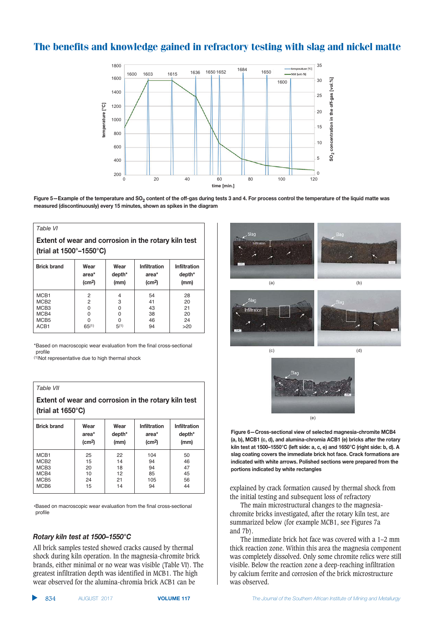

Figure 5-Example of the temperature and SO<sub>2</sub> content of the off-gas during tests 3 and 4. For process control the temperature of the liquid matte was  $i$ **measured (discontinuously) every 15 minutes, shown as spikes in the diagram** 

#### *Table VI*

**Extent of wear and corrosion in the rotary kiln test (trial at 1500°-1550°C)** 

| <b>Brick brand</b> | Wear<br>area*<br>(cm <sup>2</sup> ) | Wear<br>depth*<br>(mm) | <b>Infiltration</b><br>area*<br>(cm <sup>2</sup> ) | <b>Infiltration</b><br>depth*<br>(mm) |
|--------------------|-------------------------------------|------------------------|----------------------------------------------------|---------------------------------------|
| MCB <sub>1</sub>   | $\overline{2}$                      | 4                      | 54                                                 | 28                                    |
| MCB <sub>2</sub>   | 2                                   | 3                      | 41                                                 | 20                                    |
| MCB <sub>3</sub>   | 0                                   | 0                      | 43                                                 | 21                                    |
| MCB4               | 0                                   | O                      | 38                                                 | 20                                    |
| MCB <sub>5</sub>   | O                                   | O                      | 46                                                 | 24                                    |
| ACB1               | 65(1)                               | 5(1)                   | 94                                                 | >20                                   |

\*Based on macroscopic wear evaluation from the final cross-sectional profile

(1)Not representative due to high thermal shock

#### *Table VII*

**Extent of wear and corrosion in the rotary kiln test (trial at 1650°C)** 

| <b>Brick brand</b> | Wear<br>area*<br>(cm <sup>2</sup> ) | Wear<br>depth*<br>(mm) | <b>Infiltration</b><br>area*<br>(cm <sup>2</sup> ) | <b>Infiltration</b><br>depth*<br>(mm) |
|--------------------|-------------------------------------|------------------------|----------------------------------------------------|---------------------------------------|
| MCB <sub>1</sub>   | 25                                  | 22                     | 104                                                | 50                                    |
| MCB <sub>2</sub>   | 15                                  | 14                     | 94                                                 | 46                                    |
| MCB <sub>3</sub>   | 20                                  | 18                     | 94                                                 | 47                                    |
| MCB4               | 10                                  | 12                     | 85                                                 | 45                                    |
| MCB <sub>5</sub>   | 24                                  | 21                     | 105                                                | 56                                    |
| MCB <sub>6</sub>   | 15                                  | 14                     | 94                                                 | 44                                    |

•Based on macroscopic wear evaluation from the final cross-sectional profile

#### *Rotary kiln test at 1500-1550°C*

All brick samples tested showed cracks caused by thermal shock during kiln operation. In the magnesia-chromite brick brands, either minimal or no wear was visible (Table VI). The greatest infiltration depth was identified in MCB1. The high wear observed for the alumina-chromia brick ACB1 can be



 $F_{1}$  **B**  $F_{2}$  **Cross-sectional view of selected magnesia-chromite MCB4**  $A$ <sub>c</sub>, b), MCB1 (c, d), and alumina-chromia ACB1 (e) bricks after the rotary kiln test at 1500-1550°C (left side: a, c, e) and 1650°C (right side: b, d). A  $\frac{1}{2}$  Slag coating covers the immediate brick hot face. Crack formations are  $\blacksquare$  indicated with white arrows. Polished sections were prepared from the  $\frac{1}{2}$  portions indicated by white rectangles

explained by crack formation caused by thermal shock from the initial testing and subsequent loss of refractory

The main microstructural changes to the magnesiachromite bricks investigated, after the rotary kiln test, are summarized below (for example MCB1, see Figures 7a and 7b).

The immediate brick hot face was covered with a 1–2 mm thick reaction zone. Within this area the magnesia component was completely dissolved. Only some chromite relics were still visible. Below the reaction zone a deep-reaching infiltration by calcium ferrite and corrosion of the brick microstructure was observed.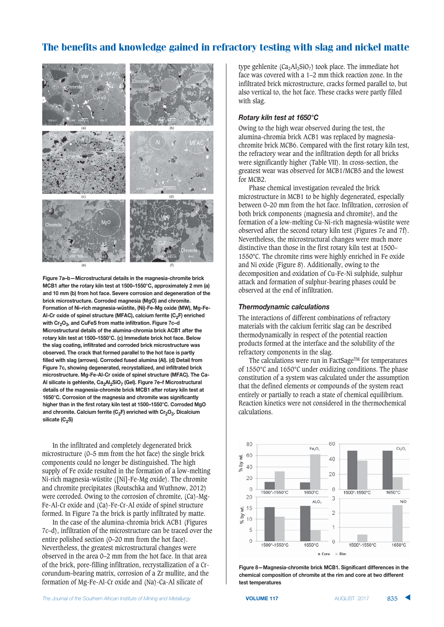

 $B$ **Figure 7a-b-Microstructural details in the magnesia-chromite brick MCB1** after the rotary kiln test at 1500-1550°C, approximately 2 mm (a) **and 10 mm (b) from hot face. Severe corrosion and degeneration of the**  $Brick microstructure.$  Corroded magnesia (MgO) and chromite. **Formation of Ni-rich magnesia-wüstite, (Ni)-Fe-Mg oxide (MW), Mg-Fe-AI-Cr oxide of spinel structure (MFAC), calcium ferrite (C<sub>2</sub>F) enriched with Cr<sub>2</sub>O<sub>3</sub>, and CuFeS from matte infiltration. Figure 7c-d B** Microstructural details of the alumina-chromia brick ACB1 after the **Robinson B B B B C C C C C C Immediate brick hot face. Below chE cating.infiltrated and corroded brick microstructure was @.=EBE:1F9EF>BC>(FD9CDF7@B;E:F2CBC<<E<FD@FD9EF9@DF7C>EFA=F2CBD<-F filled with slag (arrows). Corroded fused alumina (AI). (d) Detail from**  $E$ **B** $E$  **B** $E$  **C** $E$  **C** $E$  **C** $E$  **C** $E$  **C** $E$  **C** $E$  **C** $E$  **C** $E$  **C** $E$  **C** $E$  **C** $E$  **C** $E$  **C** $E$  **C** $E$  **C** $E$  **C** $E$  **C** $E$  **C** $E$  **C** $E$  **C** $E$  **C** $E$  **C** $E$  **C** $E$  **C** $E$  **C** $E$  **C** $E$  **C** $E$  **C** $E$  **C** $E$  **C ;A>B@=DB8>D8BE1F+6/,E/!</3B @A:EF@7F=2A?E<F=DB8>D8BEF4+,!351F9EF3C/**  ${\sf A}$ l silicate is gehlenite, Ca<sub>2</sub>Al<sub>2</sub>SiO<sub>7</sub> (Gel). Figure 7e–f Microstructural  $\alpha$ **B** details of the magnesia-chromite brick MCB1 after rotary kiln test at **1650°C.** Corrosion of the magnesia and chromite was significantly **higher than in the first rotary kiln test at 1500-1550°C. Corroded MgO and chromite. Calcium ferrite (C<sub>2</sub>F) enriched with Cr<sub>2</sub>O<sub>3</sub>. Dicalcium**  $\text{silicate } (C_2S)$ 

In the infiltrated and completely degenerated brick microstructure (0–5 mm from the hot face) the single brick components could no longer be distinguished. The high supply of Fe oxide resulted in the formation of a low-melting Ni-rich magnesia-wüstite ([Ni]-Fe-Mg oxide). The chromite and chromite precipitates (Routschka and Wuthnow, 2012) were corroded. Owing to the corrosion of chromite, (Ca)-Mg-Fe-Al-Cr oxide and (Ca)-Fe-Cr-Al oxide of spinel structure formed. In Figure 7a the brick is partly infiltrated by matte.

In the case of the alumina-chromia brick ACB1 (Figures 7c–d), infiltration of the microstructure can be traced over the entire polished section (0–20 mm from the hot face). Nevertheless, the greatest microstructural changes were observed in the area 0–2 mm from the hot face. In that area of the brick, pore-filling infiltration, recrystallization of a Crcorundum–bearing matrix, corrosion of a Zr mullite, and the formation of Mg-Fe-Al-Cr oxide and (Na)-Ca-Al silicate of

type gehlenite  $(Ca_2Al_2SiO_7)$  took place. The immediate hot face was covered with a 1–2 mm thick reaction zone. In the infiltrated brick microstructure, cracks formed parallel to, but also vertical to, the hot face. These cracks were partly filled with slag.

#### *Rotary kiln test at 1650°C*

Owing to the high wear observed during the test, the alumina-chromia brick ACB1 was replaced by magnesiachromite brick MCB6. Compared with the first rotary kiln test, the refractory wear and the infiltration depth for all bricks were significantly higher (Table VII). In cross-section, the greatest wear was observed for MCB1/MCB5 and the lowest for MCB2.

Phase chemical investigation revealed the brick microstructure in MCB1 to be highly degenerated, especially between 0–20 mm from the hot face. Infiltration, corrosion of both brick components (magnesia and chromite), and the formation of a low-melting Cu-Ni-rich magnesia-wüstite were observed after the second rotary kiln test (Figures 7e and 7f). Nevertheless, the microstructural changes were much more distinctive than those in the first rotary kiln test at 1500– 1550°C. The chromite rims were highly enriched in Fe oxide and Ni oxide (Figure 8). Additionally, owing to the decomposition and oxidation of Cu-Fe-Ni sulphide, sulphur attack and formation of sulphur-bearing phases could be observed at the end of infiltration.

#### *Thermodynamic calculations*

The interactions of different combinations of refractory materials with the calcium ferritic slag can be described thermodynamically in respect of the potential reaction products formed at the interface and the solubility of the refractory components in the slag.

The calculations were run in FactSage™ for temperatures of 1550°C and 1650°C under oxidizing conditions. The phase constitution of a system was calculated under the assumption that the defined elements or compounds of the system react entirely or partially to reach a state of chemical equilibrium. Reaction kinetics were not considered in the thermochemical calculations.



 $F$ igure 8—Magnesia-chromite brick MCB1. Significant differences in the  $R$  **chemical composition of chromite at the rim and core at two different**  $\frac{1}{2}$ **B**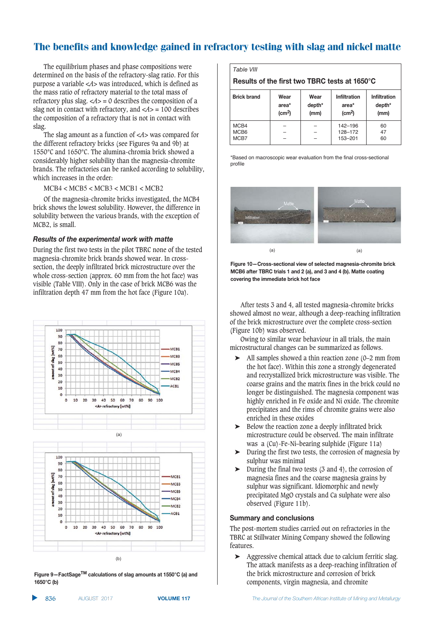The equilibrium phases and phase compositions were determined on the basis of the refractory-slag ratio. For this purpose a variable <*A*> was introduced, which is defined as the mass ratio of refractory material to the total mass of refractory plus slag.  $\langle A \rangle = 0$  describes the composition of a slag not in contact with refractory, and  $\langle A \rangle = 100$  describes the composition of a refractory that is not in contact with slag.

The slag amount as a function of <*A*> was compared for the different refractory bricks (see Figures 9a and 9b) at 1550°C and 1650°C. The alumina-chromia brick showed a considerably higher solubility than the magnesia-chromite brands. The refractories can be ranked according to solubility, which increases in the order:

MCB4 < MCB5 < MCB3 < MCB1 < MCB2

Of the magnesia-chromite bricks investigated, the MCB4 brick shows the lowest solubility. However, the difference in solubility between the various brands, with the exception of MCB2, is small.

#### *Results of the experimental work with matte*

During the first two tests in the pilot TBRC none of the tested magnesia-chromite brick brands showed wear. In crosssection, the deeply infiltrated brick microstructure over the whole cross-section (approx. 60 mm from the hot face) was visible (Table VIII). Only in the case of brick MCB6 was the infiltration depth 47 mm from the hot face (Figure 10a).



 $F_{\text{square}} = 9 - F_{\text{act}} S_{\text{age}}^{T M}$  calculations of slag amounts at 1550°C (a) and 1650°C (b)

*Table VIII*

**Results of the first two TBRC tests at 1650°C** 

| <b>Brick brand</b>       | Wear<br>area*<br>(cm <sup>2</sup> ) | Wear<br>depth*<br>(mm) | Infiltration<br>area*<br>(cm <sup>2</sup> ) | Infiltration<br>depth*<br>(mm) |
|--------------------------|-------------------------------------|------------------------|---------------------------------------------|--------------------------------|
| MCB4<br>MCB <sub>6</sub> |                                     |                        | 142-196<br>128-172                          | 60<br>47                       |
| MCB7                     |                                     |                        | 153-201                                     | 60                             |

\*Based on macroscopic wear evaluation from the final cross-sectional profile



 $B$  **Figure 10–Cross-sectional view of selected magnesia-chromite brick MCB6** after TBRC trials 1 and 2 (a), and 3 and 4 (b). Matte coating  $\frac{1}{2}$  **covering the immediate brick hot face** 

After tests 3 and 4, all tested magnesia-chromite bricks showed almost no wear, although a deep-reaching infiltration of the brick microstructure over the complete cross-section (Figure 10b) was observed.

Owing to similar wear behaviour in all trials, the main microstructural changes can be summarized as follows.

- All samples showed a thin reaction zone (0–2 mm from the hot face). Within this zone a strongly degenerated and recrystallized brick microstructure was visible. The coarse grains and the matrix fines in the brick could no longer be distinguished. The magnesia component was highly enriched in Fe oxide and Ni oxide. The chromite precipitates and the rims of chromite grains were also enriched in these oxides
- ➤ Below the reaction zone a deeply infiltrated brick microstructure could be observed. The main infiltrate was a (Cu)-Fe-Ni–bearing sulphide (Figure 11a)
- ➤ During the first two tests, the corrosion of magnesia by sulphur was minimal
- $\triangleright$  During the final two tests (3 and 4), the corrosion of magnesia fines and the coarse magnesia grains by sulphur was significant. Idiomorphic and newly precipitated MgO crystals and Ca sulphate were also observed (Figure 11b).

#### $$Summary and conclusions$

The post-mortem studies carried out on refractories in the TBRC at Stillwater Mining Company showed the following features.

➤ Aggressive chemical attack due to calcium ferritic slag. The attack manifests as a deep-reaching infiltration of the brick microstructure and corrosion of brick components, virgin magnesia, and chromite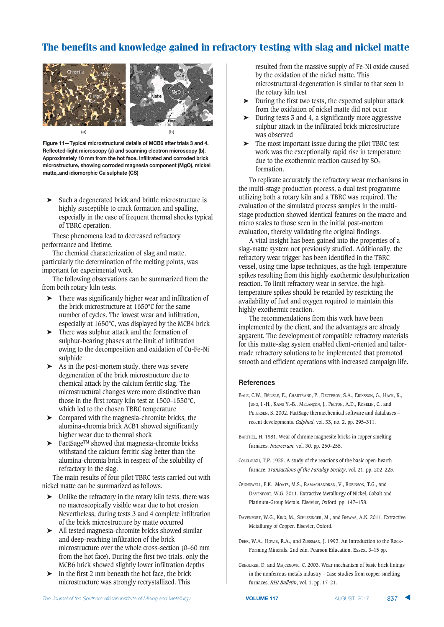

Figure 11-Typical microstructural details of MCB6 after trials 3 and 4.  $B = RE<sup>2</sup>$ **Example 2015** Extending the District of the Beart of the Beartan enteries in the Bearta enteries to the Bearta enteries and the Bearta enteries to the Bearta enteries to the Bearta enteries on the Bearta enter  $\blacksquare$  **Approximately 10 mm from the hot face. Infiltrated and corroded brick microstructure, showing corroded magnesia component (MgO), mickel )matte,.and idiomorphic Ca sulphate (CS)** 

➤ Such a degenerated brick and brittle microstructure is highly susceptible to crack formation and spalling, especially in the case of frequent thermal shocks typical of TBRC operation.

These phenomena lead to decreased refractory performance and lifetime.

The chemical characterization of slag and matte, particularly the determination of the melting points, was important for experimental work.

The following observations can be summarized from the from both rotary kiln tests.

- ➤ There was significantly higher wear and infiltration of the brick microstructure at 1650°C for the same number of cycles. The lowest wear and infiltration, especially at 1650°C, was displayed by the MCB4 brick
- ➤ There was sulphur attack and the formation of sulphur-bearing phases at the limit of infiltration owing to the decomposition and oxidation of Cu-Fe-Ni sulphide
- ➤ As in the post-mortem study, there was severe degeneration of the brick microstructure due to chemical attack by the calcium ferritic slag. The microstructural changes were more distinctive than those in the first rotary kiln test at 1500–1550°C, which led to the chosen TBRC temperature
- ➤ Compared with the magnesia-chromite bricks, the alumina-chromia brick ACB1 showed significantly higher wear due to thermal shock
- ➤ FactSageTM showed that magnesia-chromite bricks withstand the calcium ferritic slag better than the alumina-chromia brick in respect of the solubility of refractory in the slag.

The main results of four pilot TBRC tests carried out with nickel matte can be summarized as follows.

- ➤ Unlike the refractory in the rotary kiln tests, there was no macroscopically visible wear due to hot erosion. Nevertheless, during tests 3 and 4 complete infiltration of the brick microstructure by matte occurred
- ➤ All tested magnesia-chromite bricks showed similar and deep-reaching infiltration of the brick microstructure over the whole cross-section (0–60 mm from the hot face). During the first two trials, only the MCB6 brick showed slightly lower infiltration depths
- ➤ In the first 2 mm beneath the hot face, the brick microstructure was strongly recrystallized. This

resulted from the massive supply of Fe-Ni oxide caused by the oxidation of the nickel matte. This microstructural degeneration is similar to that seen in the rotary kiln test

- ➤ During the first two tests, the expected sulphur attack from the oxidation of nickel matte did not occur
- ➤ During tests 3 and 4, a significantly more aggressive sulphur attack in the infiltrated brick microstructure was observed
- ➤ The most important issue during the pilot TBRC test work was the exceptionally rapid rise in temperature due to the exothermic reaction caused by  $SO<sub>2</sub>$ formation.

To replicate accurately the refractory wear mechanisms in the multi-stage production process, a dual test programme utilizing both a rotary kiln and a TBRC was required. The evaluation of the simulated process samples in the multistage production showed identical features on the macro and micro scales to those seen in the initial post-mortem evaluation, thereby validating the original findings.

A vital insight has been gained into the properties of a slag-matte system not previously studied. Additionally, the refractory wear trigger has been identified in the TBRC vessel, using time-lapse techniques, as the high-temperature spikes resulting from this highly exothermic desulphurization reaction. To limit refractory wear in service, the hightemperature spikes should be retarded by restricting the availability of fuel and oxygen required to maintain this highly exothermic reaction.

The recommendations from this work have been implemented by the client, and the advantages are already apparent. The development of compatible refractory materials for this matte-slag system enabled client-oriented and tailormade refractory solutions to be implemented that promoted smooth and efficient operations with increased campaign life.

#### $Ref$ **erences**

- BALE, C.W., BÉLISLE, E., CHARTRAND, P., DECTEROV, S.A., ERIKSSON, G., HACK, K., JUNG, I.-H., KANG Y.-B., MELANÇON, J., PELTON, A.D., ROBELIN, C., and PETERSEN, S. 2002. FactSage thermochemical software and databases – recent developments. *Calphad*, vol. 33, no. 2. pp. 295–311.
- BARTHEL, H. 1981. Wear of chrome magnesite bricks in copper smelting furnaces. *Interceram*, vol. 30. pp. 250–255.
- COLCLOUGH, T.P. 1925. A study of the reactions of the basic open-hearth furnace. *Transactions of the Faraday Society*, vol. 21. pp. 202–223.
- CRUNDWELL, F.K., MOATS, M.S., RAMACHANDRAN, V., ROBINSON, T.G., and DAVENPORT, W.G. 2011. Extractive Metallurgy of Nickel, Cobalt and Platinum-Group Metals. Elsevier, Oxford. pp. 147–158.
- DAVENPORT, W.G., KING, M., SCHLESINGER, M., and BISWAS, A.K. 2011. Extractive Metallurgy of Copper. Elsevier, Oxford.
- DEER, W.A., HOWIE, R.A., and ZUSSMAN, J. 1992. An Introduction to the Rock-Forming Minerals. 2nd edn. Pearson Education, Essex. 3–15 pp.
- GREGUREK, D. and MAJCENOVIC, C. 2003. Wear mechanism of basic brick linings in the nonferrous metals industry – Case studies from copper smelting furnaces, *RHI Bulletin*, vol. 1. pp. 17–21.